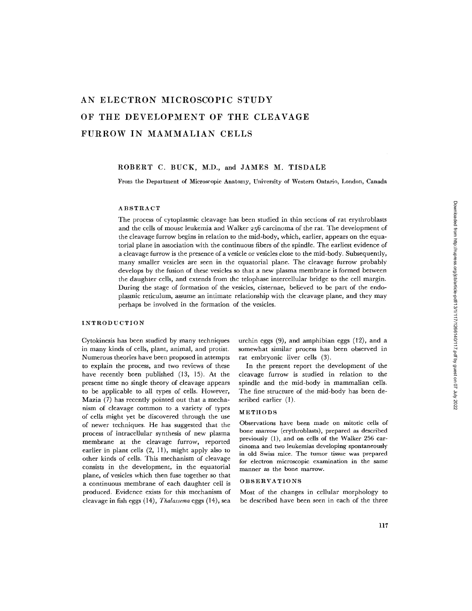# **AN ELECTRON MICROSCOPIC STUDY OF THE DEVELOPMENT OF THE CLEAVAGE FURROW IN MAMMALIAN CELLS**

# ROBERT C. BUCK, M.D., and JAMES M. TISDALE

From the Department of Microscopic Anatomy, University of Western Ontario, London, Canada

## ABSTRACT

The process of cytoplasmic cleavage has been studied in thin sections of rat erythroblasts and the cells of mouse leukemia and Walker 256 carcinoma of the rat. The development of the cleavage furrow begins in relation to the mid-body, which, earlier, appears on the equatorial plane in association with the continuous fibers of the spindle. The earliest evidence of a cleavage furrow is the presence of a vesicle or vesicles close to the mid-body. Subsequently, many smaller vesicles are seen in the equatorial plane. The cleavage furrow probably develops by the fusion of these vesicles so that a new plasma membrane is formed between the daughter cells, and extends from the telophase intercellular bridge to the cell margin. During the stage of formation of the vesicles, cisternae, believed to be part of the endoplasmic reticulum, assume an intimate relationship with the cleavage plane, and they may perhaps be involved in the formation of the vesicles.

# INTRODUCTION

Cytokinesis has been studied by many techniques in many kinds of cells, plant, animal, and protist. Numerous theories have been proposed in attempts to explain the process, and two reviews of these have recently been published (13, 15). At the present time no single theory of cleavage appears to be applicable to all types of cells. However, Mazia (7) has recently pointed out that a mechanism of cleavage common to a variety of types of cells might yet be discovered through the use of newer techniques. He has suggested that the process of intracellular synthesis of new plasma membrane at the cleavage furrow, reported earlier in plant cells (2, 11), might apply also to other kinds of cells. This mechanism of cleavage consists in the development, in the equatorial plane, of vesicles which then fuse together so that a continuous membrane of each daughter cell is produced. Evidence exists for this mechanism of cleavage in fish eggs (14), *Thalassema* eggs (14), sea urchin eggs (9), and amphibian eggs (12), and a somewhat similar process has been observed in rat embryonic liver cells (3).

In the present report the development of the cleavage furrow is studied in relation to the spindle and the mid-body in mammalian cells. The fine structure of the mid-body has been described earlier (1).

## METHODS

Observations have been made on mitotic cells of bone marrow (erythroblasts), prepared as described previously (1), and on cells of the Walker 256 carcinoma and two leukemias developing spontaneously in old Swiss mice. The tumor tissue was prepared for electron microscopic examination in the same manner as the bone marrow.

#### OBSERVATIONS

Most of the changes in cellular morphology to be described have been seen in each of the three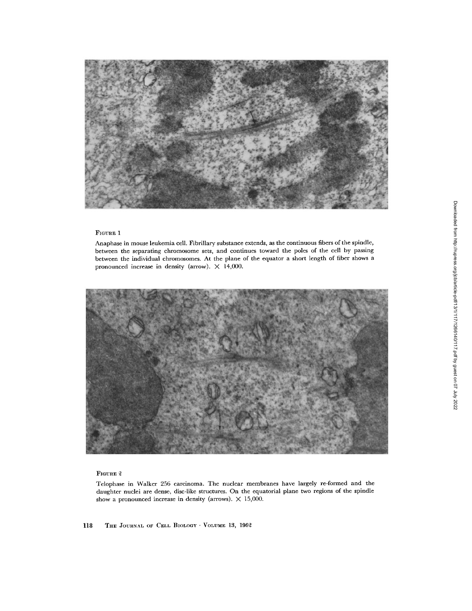

Anaphase in mouse leukemia cell. Fibrillary substance extends, as the continuous fibers of the spindle, between the separating chromosome sets, and continues toward the poles of the cell by passing between the individual chromosomes. At the plane of the equator a short length of fiber shows a pronounced increase in density (arrow).  $\times$  14,000.



# FIGURE 2

Telophase in Walker 256 carcinoma. The nuclear membranes have largely re-formed and the daughter nuclei are dense, disc-like structures. On the equatorial plane two regions of the spindle show a pronounced increase in density (arrows).  $\times$  15,000.

118 THE JOURNAL OF CELL BIOLOGY  $\cdot$  VOLUME 13, 1962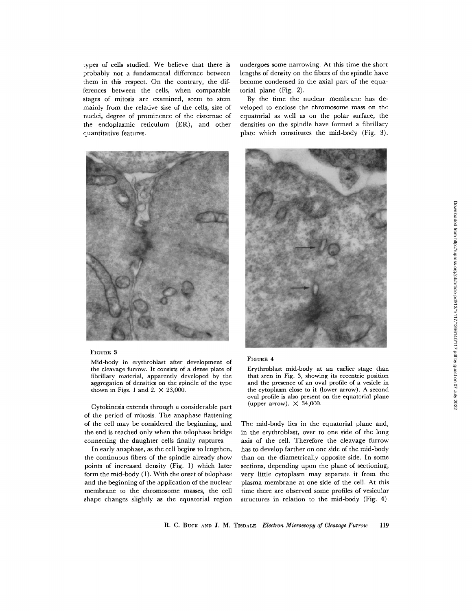types of cells studied. We believe that there is probably not a fundamental difference between them in this respect. On the contrary, the differences between the cells, when comparable stages of mitosis are examined, seem to stem mainly from the relative size of the cells, size of nuclei, degree of prominence of the cisternae of the endoplasmic reticulum (ER), and other quantitative features.



#### FIGURE 3

Mid-body in erythroblast after development of **the** cleavage furrow. It consists of a dense plate of fibrillary material, apparently developed by the aggregation of densities on the spindle of the type shown in Figs. 1 and 2.  $\times$  23,000.

Cytokinesis extends through a considerable part of the period of mitosis. The anaphase flattening of the cell may be considered the beginning, and the end is reached only when the telophase bridge connecting the daughter cells finally ruptures.

In early anaphase, as the cell begins to lengthen, the continuous fibers of the spindle already show points of increased density (Fig. 1) which later form the mid-body (1). With the onset of telophase and the beginning of the application of the nuclear membrane to the chromosome masses, the cell shape changes slightly as the equatorial region undergoes some narrowing. At this time the short lengths of density on the fibers of the spindle have become condensed in the axial part of the equatorial plane (Fig. 2).

By the time the nuclear membrane has developed to enclose the chromosome mass on the equatorial as well as on the polar surface, the densities on the spindle have formed a fibrillary plate which constitutes the mid-body (Fig. 3).



#### **FIGURE 4**

Erythroblast mid-body at an earlier stage than that seen in Fig. 3, showing its eccentric position and the presence of an oval profile of a vesicle in the cytoplasm close to it (lower arrow). A second oval profile is also present on the equatorial plane (upper arrow).  $\times$  34,000.

The mid-body lies in the equatorial plane and, in the erythroblast, over to one side of the long axis of the cell. Therefore the cleavage furrow has to develop farther on one side of the mid-body than on the diametrically opposite side. In some sections, depending upon the plane of sectioning, very little cytoplasm may separate it from the plasma membrane at one side of the cell. At this time there are observed some profiles of vesicular structures in relation to the mid-body (Fig. 4).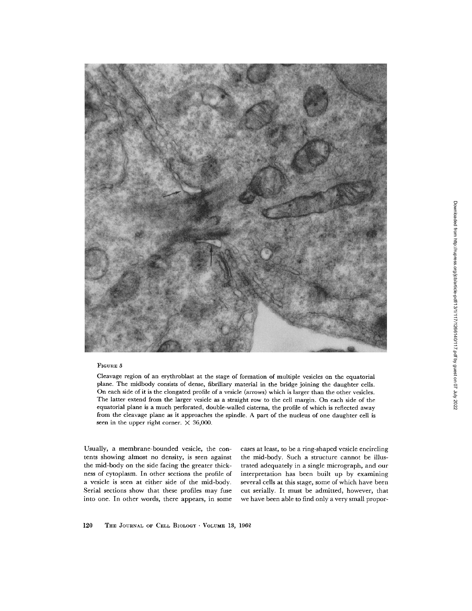

Cleavage region of an crythroblast at the stage of formation of multiple vesicles on the equatorial planc. The midbody consists of dense, fibrillary matcrial in the bridge joining the daughter cells. On each side of it is the clongatcd profilc of a vesicle (arrows) which is larger than the other vesicles. The latter extend from the larger vesicle as a straight row to the cell margin. On each side of the equatorial plane is a much perforated, double-wallcd cisterna, the profile of which is reflected away from the cleavage plane as it approaches the spindle. A part of the nucleus of one daughter cell is seen in the upper right corner.  $\times$  36,000.

Usually, a membrane-bounded vesicle, the contents showing almost no density, is seen against the mid-body on the side facing the greater thickness of cytoplasm. In other sections the profile of a vesicle is seen at either side of the mid-body. Serial sections show that these profiles may fuse into one. In other words, there appears, in some cases at least, to be a ring-shaped vesicle encircling the mid-body. Such a structure cannot be illustrated adequately in a single micrograph, and our interpretation has been built up by examining several cells at this stage, some of which have been cut serially. It must be admitted, however, that we have been able to find only a very small propor-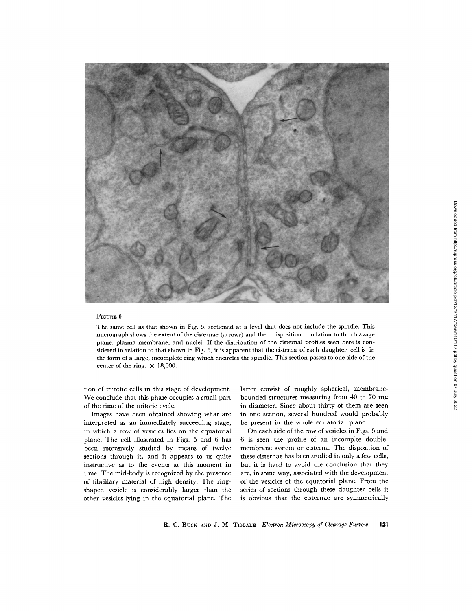

The same cell as that shown in Fig. 5, sectioned at a level that does not include the spindle. This micrograph shows the extent of the cisternae (arrows) and their disposition in relation to the cleavage plane, plasma membrane, and nuclei. If the distribution of the cisternal profiles seen here is considered in relation to that shown in Fig. 5, it is apparent that the cisterna of each daughter cell is in the form of a large, incomplete ring which encircles the spindle. This section passes to one side of the center of the ring.  $\times$  18,000.

tion of mitotic ceils in this stage of development. We conclude that this phase occupies a small part of the time of the mitotic cycle.

Images have been obtained showing what are interpreted as an immediately succeeding stage, in which a row of vesicles lies on the equatorial plane. The cell illustrated in Figs. 5 and 6 has been intensively studied by means of twelve sections through it, and it appears to us quite instructive as to the events at this moment in time. The mid-body is recognized by the presence of fibrillary material of high density. The ringshaped vesicle is considerably larger than the other vesicles lying in the equatorial plane. The

latter consist of roughly spherical, membranebounded structures measuring from 40 to 70 m $\mu$ in diameter. Since about thirty of them are seen in one section, several hundred would probably be present in the whole equatorial plane.

On each side of the row of vesicles in Figs. 5 and 6 is seen the profile of an incomplte doublemembrane system or cisterna. The disposition of these cisternae has been studied in only a few cells, but it is hard to avoid the conclusion that they are, in some way, associated with the development of the vesicles of the equatorial plane. From the series of sections through these daughter cells it is obvious that the cisternae are symmetrically

R. C. BUCK AND J. M. TISDALE *Electron Microscopy of Cleavage Furrow* 121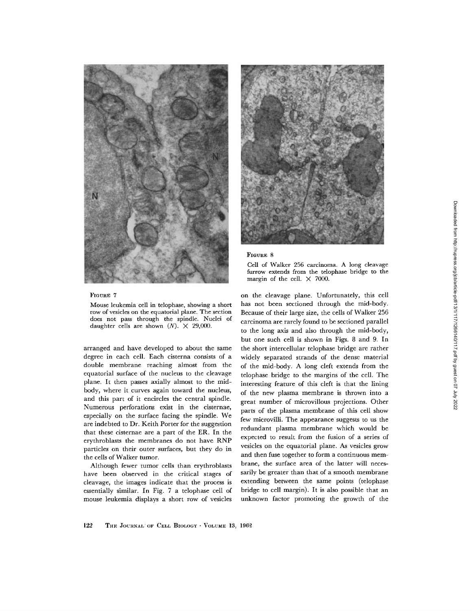



Cell of Walker 256 carcinoma. A long cleavage furrow extends from the telophase bridge to the margin of the cell.  $\times$  7000.

on the cleavage plane. Unfortunately, this cell has not been sectioned through the mid-body. Because of their large size, the cells of Walker 255 carcinoma are rarely found to be sectioned parallel to the long axis and also through the mid-body, but one such cell is shown in Figs. 8 and 9. In the short intercellular telophase bridge are rather widely separated strands of the dense material of the mid-body. A long cleft extends from the telophase bridge to the margins of the cell. The interesting feature of this cleft is that the lining of the new plasma membrane is thrown into a great number of microvillous projections. Other parts of the plasma membrane of this cell show few microvilli. The appearance suggests to us the redundant plasma membrane which would be expected to result from the fusion of a series of vesicles on the equatorial plane. As vesicles grow and then fuse together to form a continuous membrane, the surface area of the latter will necessarily be greater than that of a smooth membrane extending between the same points (telophase bridge to cell margin). It is also possible that an unknown factor promoting the growth of the

#### FIGURE 7

Mouse leukemia cell in telophase, showing a short row of vesicles on the equatorial plane. The section does not pass through the spindle. Nuclei of daughter cells are shown  $(N)$ .  $\times$  29,000.

arranged and have developed to about the same degree in each cell. Each cisterna consists of a double membrane reaching almost from the equatorial surface of the nucleus to the cleavage plane. It then passes axially almost to the midbody, where it curves again toward the nucleus, and this part of it encircles the central spindle. Numerous perforations exist in the cisternae, especially on the surface facing the spindle. We are indebted to Dr. Keith Porter for the suggestion that these cisternae are a part of the ER. In the erythroblasts the membranes do not have RNP particles on their outer surfaces, but they do in the cells of Walker tumor.

Although fewer tumor cells than erythroblasts have been observed in the critical stages of cleavage, the images indicate that the process is essentially similar. In Fig. 7 a telophase cell of mouse leukemia displays a short row of vesicles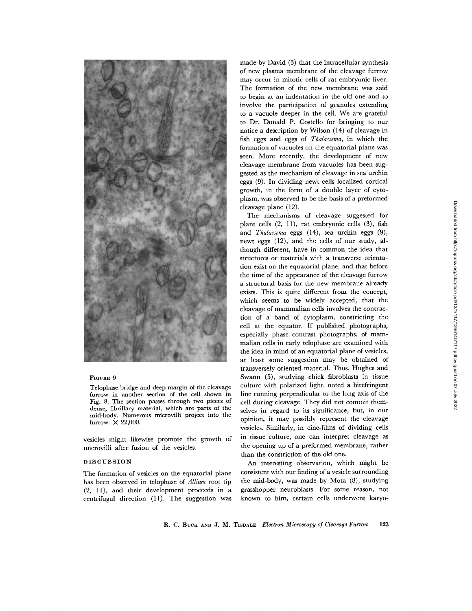

Telophase bridge and deep margin of the cleavage furrow in **another section** of the cell shown in Fig. 8. **The section** passes through two pieces of dense, fibrillary material, which are parts of the mid-body. Numerous microvilli project into the furrow.  $\times$  22,000.

vesicles might likewise promote the growth of microvilli after fusion of the vesicles.

#### DISCUSSION

The formation of vesicles on the equatorial plane has been observed in telophase of *Allium* root tip  $(2, 11)$ , and their development proceeds in a centrifugal direction (11). The suggestion was made by David (3) that the intracellular synthesis of new plasma membrane of the cleavage furrow may occur in mitotic cells of rat embryonic liver. The formation of the new membrane was said to begin at an indentation in the old one and to involve the participation of granules extending to a vacuole deeper in the cell. We are grateful to Dr. Donald P. Costello for bringing to our notice a description by Wilson (14) of cleavage in fish eggs and eggs of *Thalassema,* in which the formation of vacuoles on the equatorial plane was seen. More recently, the development of new cleavage membrane from vacuoles has been suggested as the mechanism of cleavage in sea urchin eggs (9). In dividing newt cells localized cortical growth, in the form of a double layer of cytoplasm, was observed to be the basis of a preformed cleavage plane (12).

The mechanisms of cleavage suggested for plant cells  $(2, 11)$ , rat embryonic cells  $(3)$ , fish and *Thalassema* eggs (14), sea urchin eggs (9), newt eggs (12), and the cells of our study, although different, have in common the idea that structures or materials with a transverse orientation exist on the equatorial plane, and that before the time of the appearance of the cleavage furrow a structural basis for the new membrane already exists. This is quite different from the concept, which seems to be widely accepted, that the cleavage of mammalian cells involves the contraction of a band of cytoplasm, constricting the cell at the equator. If published photographs, especially phase contrast photographs, of mammalian cells in early telophase are examined with the idea in mind of an equatorial plane of vesicles, at least some suggestion may be obtained of transversely oriented material. Thus, Hughes and Swann (5), studying chick fibroblasts in tissue culture with polarized light, noted a birefringent line running perpendicular to the long axis of the cell during cleavage. They did not commit themselves in regard to its significance, but, in our opinion, it may possibly represent the cleavage vesicles. Similarly, in cine-films of dividing cells in tissue culture, one can interpret cleavage as the opening up of a preformed membrane, rather than the constriction of the old one.

An interesting observation, which might be consistent with our finding of a vesicle surrounding the mid-body, was made by Mota (8), studying grasshopper neuroblasts. For some reason, not known to him, certain cells underwent karyo-

R. C. BUCK AND J. M. TISDALE *Electron Microscopy of Cleavage Furrow* 123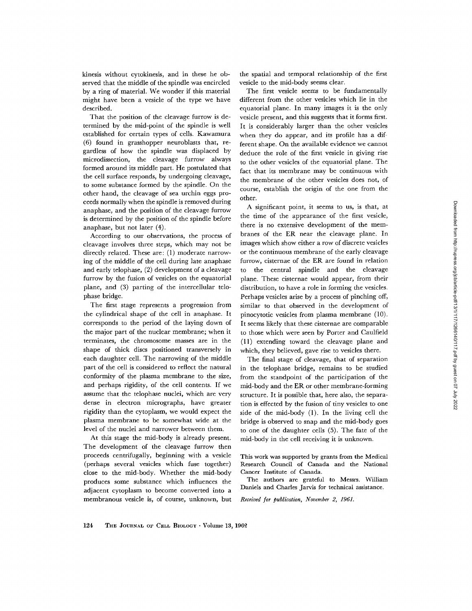kinesis without cytokinesis, and in these he observed that the middle of the spindle was encircled by a ring of material. We wonder if this material might have been a vesicle of the type we have described.

That the position of the cleavage furrow is determined by the mid-point of the spindle is well established for certain types of cells. Kawamura (6) found in grasshopper neuroblasts that, regardless of how the spindle was displaced by microdissection, the cleavage furrow always formed around its middle part. He postulated that the cell surface responds, by undergoing cleavage, to some substance formed by the spindle. On the other hand, the cleavage of sea urchin eggs proceeds normally when the spindle is removed during anaphase, and the position of the cleavage furrow is determined by the position of the spindle before anaphase, but not later (4).

According to our observations, the process of cleavage involves three steps, which may not be directly related. These are: (1) moderate narrowing of the middle of the cell during late anaphase and early telophase, (2) development of a cleavage furrow by the fusion of vesicles on the equatorial plane, and (3) parting of the intercellular telophase bridge.

The first stage represents a progression from the cylindrical shape of the cell in anaphase. It corresponds to the period of the laying down of the major part of the nuclear membrane; when it terminates, the chromosome masses are in the shape of thick discs positioned transversely in each daughter cell. The narrowing of the middle part of the cell is considered to reflect the natural conformity of the plasma membrane to the size, and perhaps rigidity, of the cell contents. If we assume that the telophase nuclei, which are very dense in electron micrographs, have greater rigidity than the cytoplasm, we would expect the plasma membrane to be somewhat wide at the level of the nuclei and narrower between them.

At this stage the mid-body is already present. The development of the cleavage furrow then proceeds centrifugally, beginning with a vesicle (perhaps several vesicles which fuse together) close to the mid-body. Whether the mid-body produces some substance which influences the adjacent cytoplasm to become converted into a membranous vesicle is, of course, unknown, but the spatial and temporal relationship of the first vesicle to the mid-body seems clear.

The first vesicle seems to be fundamentally different from the other vesicles which lie in the equatorial plane. In many images it is the only vesicle present, and this suggests that it forms first. It is considerably larger than the other vesicles when they do appear, and its profile has a different shape. On the available evidence we cannot deduce the role of the first vesicle in giving rise to the other vesicles of the equatorial plane. The fact that its membrane may be continuous with the membrane of the other vesicles does not, of course, establish the origin of the one from the other.

A significant point, it seems to us, is that, at the time of the appearance of the first vesicle, there is no extensive development of the membranes of the ER near the cleavage plane. In images which show either a row of discrete vesicles or the continuous membrane of the early cleavage furrow, cisternae of the ER are found in relation to the central spindle and the cleavage plane. These cisternae would appear, from their distribution, to have a role in forming the vesicles. Perhaps vesicles arise by a process of pinching off, similar to that observed in the development of pinocytotic vesicles from plasma membrane (10). It seems likely that these cisternae are comparable to those which were seen by Porter and Caulfield (l l) extending toward the cleavage plane and which, they believed, gave rise to vesicles there.

The final stage of cleavage, that of separation in the telophase bridge, remains to be studied from the standpoint of the participation of the mid-body and the ER or other membrane-forming structure. It is possible that, here also, the separation is effected by the fusion of tiny vesicles to one side of the mid-body (1). In the living cell the bridge is observed to snap and the mid-body goes to one of the daughter cells (5). The fate of the mid-body in the cell receiving it is unknown.

This work was supported by grants from the Medical Research Council of Canada and the National Cancer Institute of Canada.

The authors are grateful to Messrs. William Daniels and Charles Jarvis for technical assistance.

*Received for publication, November 2, 1961.*